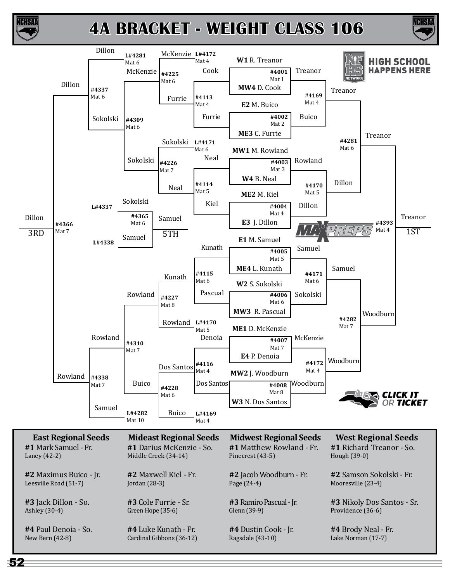

CHSA

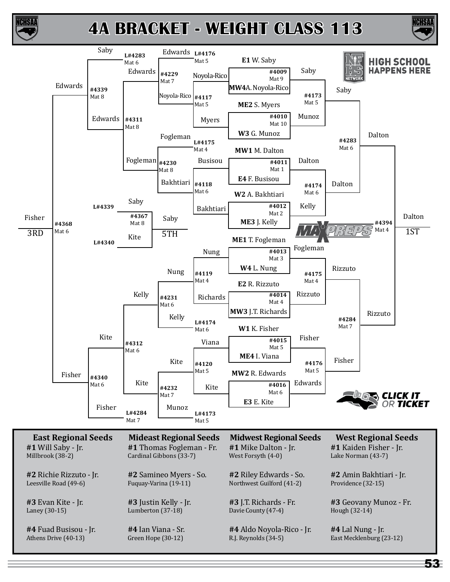



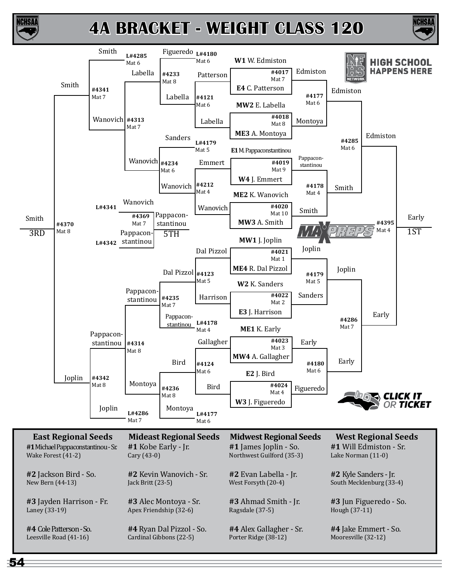

ICHSA



54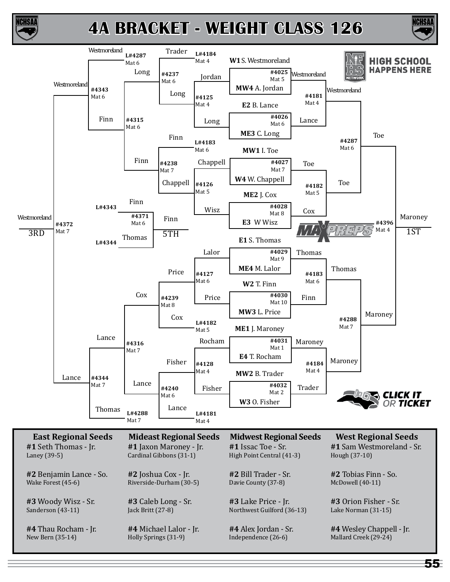



ICHSAI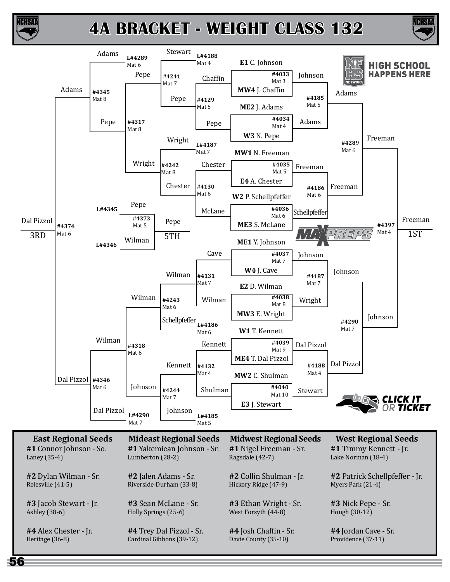

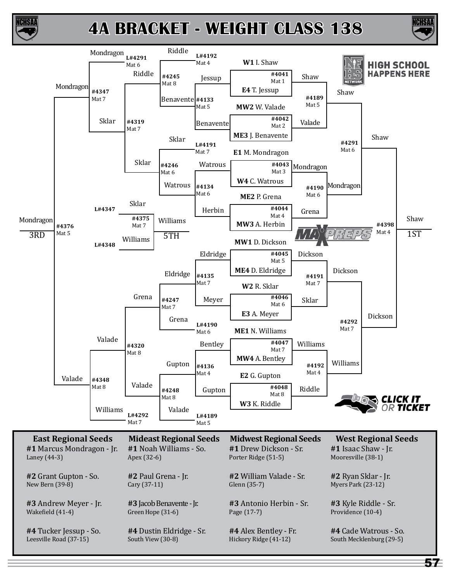



CHSA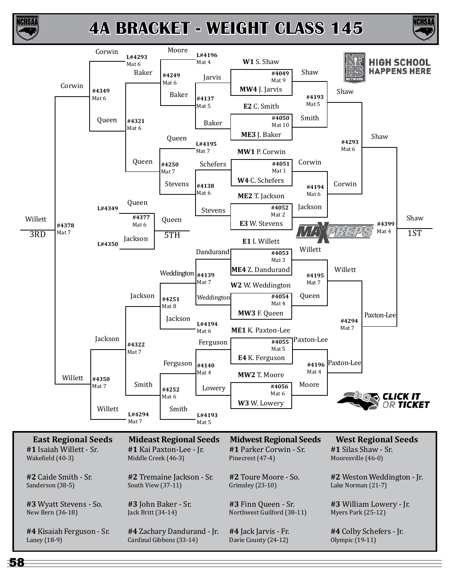



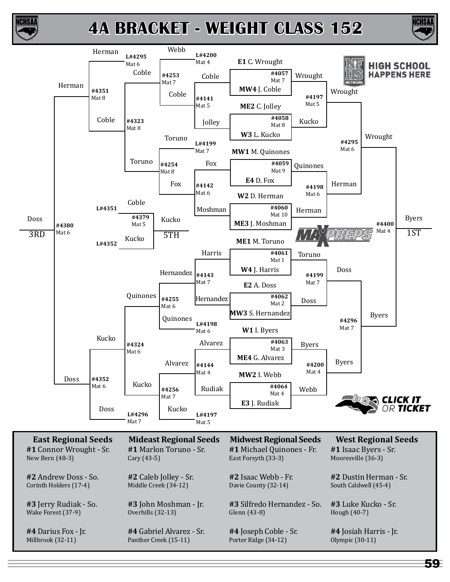



59

ICHSA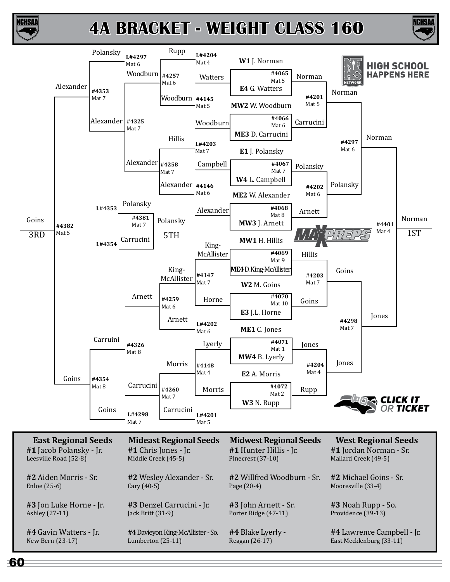



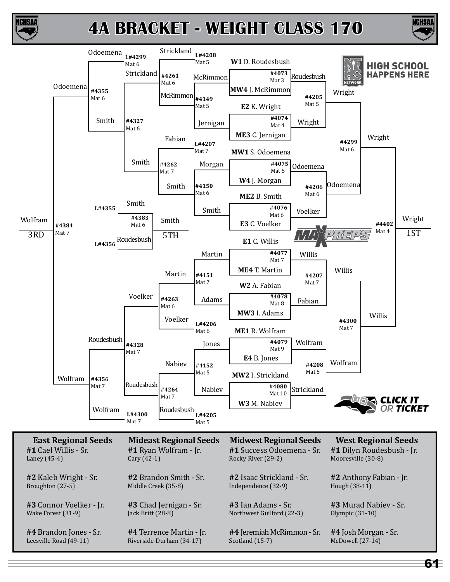



CHSA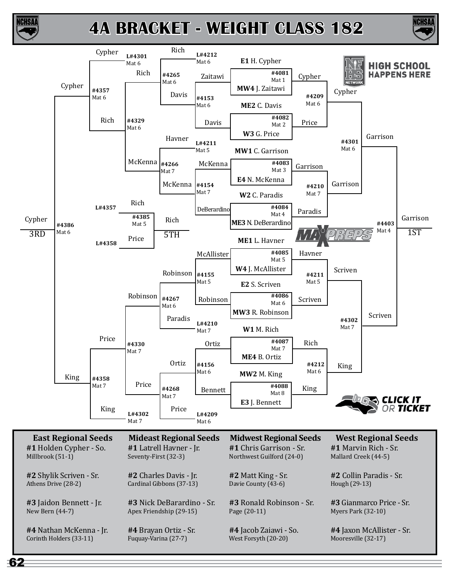



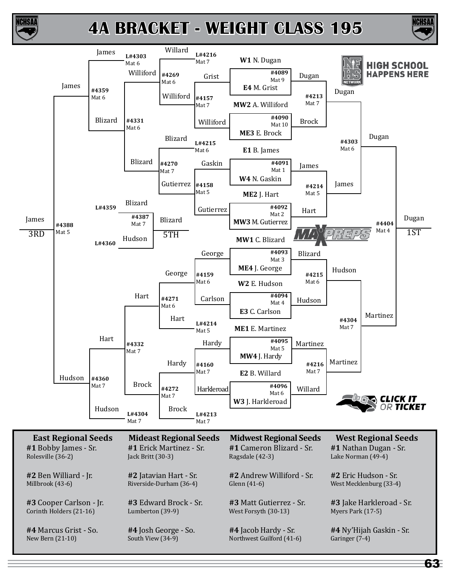



63

ICHSA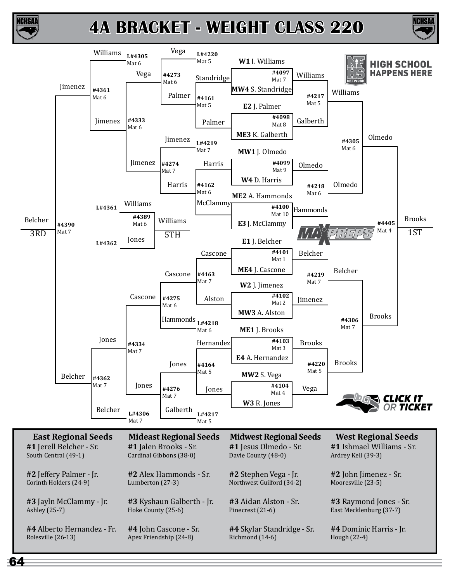

64